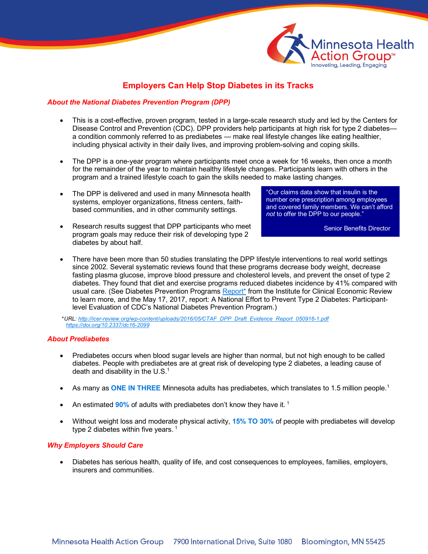

# **Employers Can Help Stop Diabetes in its Tracks**

## *About the National Diabetes Prevention Program (DPP)*

- This is a cost-effective, proven program, tested in a large-scale research study and led by the Centers for Disease Control and Prevention (CDC). DPP providers help participants at high risk for type 2 diabetes a condition commonly referred to as prediabetes — make real lifestyle changes like eating healthier, including physical activity in their daily lives, and improving problem-solving and coping skills.
- The DPP is a one-year program where participants meet once a week for 16 weeks, then once a month for the remainder of the year to maintain healthy lifestyle changes. Participants learn with others in the program and a trained lifestyle coach to gain the skills needed to make lasting changes.
- The DPP is delivered and used in many Minnesota health systems, employer organizations, fitness centers, faithbased communities, and in other community settings.
- Research results suggest that DPP participants who meet program goals may reduce their risk of developing type 2 diabetes by about half.

"Our claims data show that insulin is the number one prescription among employees and covered family members. We can't afford *not* to offer the DPP to our people."

Senior Benefits Director

• There have been more than 50 studies translating the DPP lifestyle interventions to real world settings since 2002. Several systematic reviews found that these programs decrease body weight, decrease fasting plasma glucose, improve blood pressure and cholesterol levels, and prevent the onset of type 2 diabetes. They found that diet and exercise programs reduced diabetes incidence by 41% compared with usual care. (See Diabetes Prevention Programs Report<sup>\*</sup> [from](http://icer-review.org/wp-content/uploads/2016/05/CTAF_DPP_Draft_Evidence_Report_050916-1.pdf) the Institute for Clinical Economic Review to learn more, and the May 17, 2017, report: A National Effort to Prevent Type 2 Diabetes: Participantlevel Evaluation of CDC's National Diabetes Prevention Program.)

\**URL: http://icer-review.org/wp-content/uploads/2016/05/CTAF\_DPP\_Draft\_Evidence\_Report\_050916-1.pdf [https://doi.org/10.2337/dc16-2099](http://icer-review.org/wp-content/uploads/2016/05/CTAF_DPP_Draft_Evidence_Report_050916-1.pdf)*

### *[About Prediabetes](http://icer-review.org/wp-content/uploads/2016/05/CTAF_DPP_Draft_Evidence_Report_050916-1.pdf)*

- [Prediabetes occurs when bl](http://icer-review.org/wp-content/uploads/2016/05/CTAF_DPP_Draft_Evidence_Report_050916-1.pdf)ood sugar levels are higher than normal, but not high enough to be called diabetes. People with prediabetes are at great risk of developing type 2 diabetes, a leading cause of death and disability in the  $U.S.^1$
- As many as **ONE IN THREE** Minnesota adults has prediabetes, which translates to 1.5 million people.1
- An estimated **90%** of adults with prediabetes don't know they have it. <sup>1</sup>
- Without weight loss and moderate physical activity, **15% TO 30%** of people with prediabetes will develop type 2 diabetes within five years.  $1$

### *Why Employers Should Care*

• Diabetes has serious health, quality of life, and cost consequences to employees, families, employers, insurers and communities.